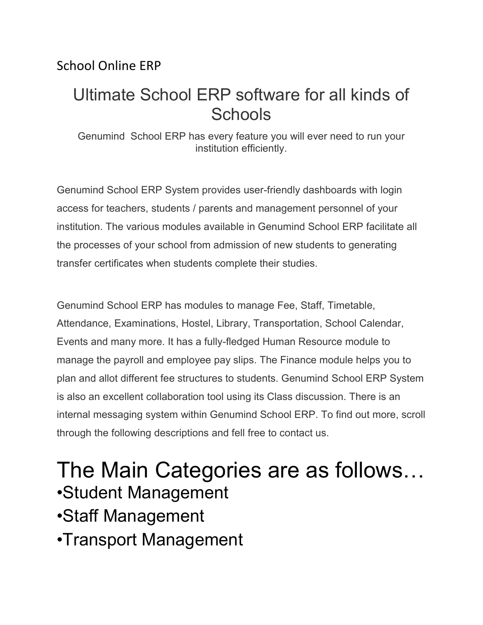#### School Online ERP

## Ultimate School ERP software for all kinds of **Schools**

Genumind School ERP has every feature you will ever need to run your institution efficiently.

Genumind School ERP System provides user-friendly dashboards with login access for teachers, students / parents and management personnel of your institution. The various modules available in Genumind School ERP facilitate all the processes of your school from admission of new students to generating transfer certificates when students complete their studies.

Genumind School ERP has modules to manage Fee, Staff, Timetable, Attendance, Examinations, Hostel, Library, Transportation, School Calendar, Events and many more. It has a fully-fledged Human Resource module to manage the payroll and employee pay slips. The Finance module helps you to plan and allot different fee structures to students. Genumind School ERP System is also an excellent collaboration tool using its Class discussion. There is an internal messaging system within Genumind School ERP. To find out more, scroll through the following descriptions and fell free to contact us.

# The Main Categories are as follows… •Student Management

•Staff Management

•Transport Management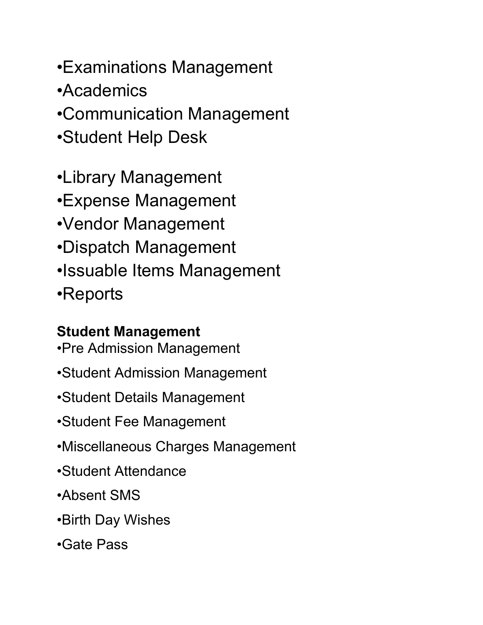- •Examinations Management
- •Academics
- •Communication Management
- •Student Help Desk
- •Library Management
- •Expense Management
- •Vendor Management
- •Dispatch Management
- •Issuable Items Management
- •Reports

## **Student Management**

- •Pre Admission Management
- •Student Admission Management
- •Student Details Management
- •Student Fee Management
- •Miscellaneous Charges Management
- •Student Attendance
- •Absent SMS
- •Birth Day Wishes
- •Gate Pass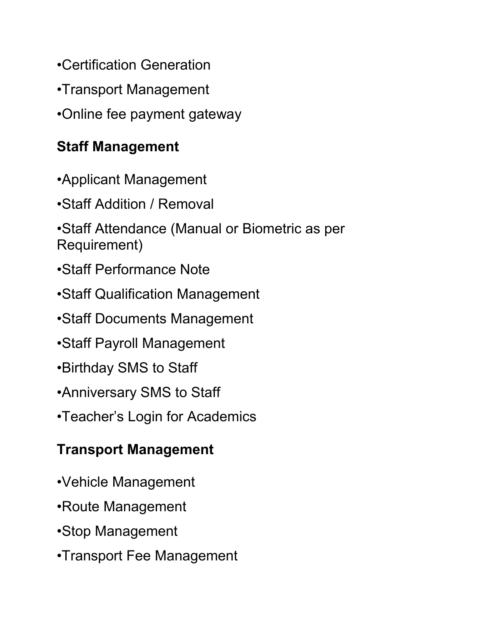- •Certification Generation
- •Transport Management
- •Online fee payment gateway

## **Staff Management**

- •Applicant Management
- •Staff Addition / Removal
- •Staff Attendance (Manual or Biometric as per Requirement)
- •Staff Performance Note
- •Staff Qualification Management
- •Staff Documents Management
- •Staff Payroll Management
- •Birthday SMS to Staff
- •Anniversary SMS to Staff
- •Teacher's Login for Academics

## **Transport Management**

- •Vehicle Management
- •Route Management
- •Stop Management
- •Transport Fee Management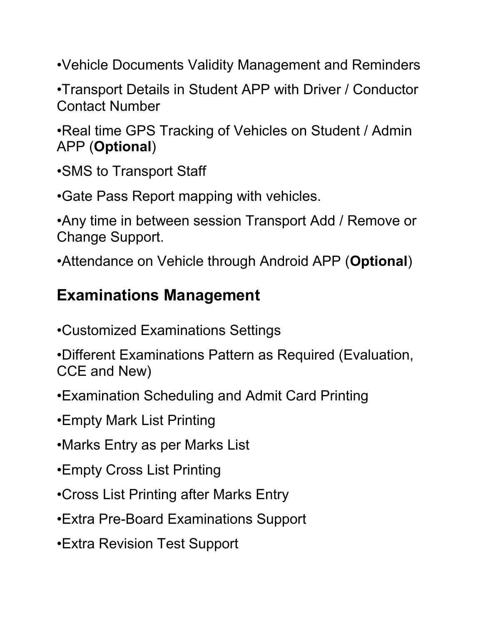•Vehicle Documents Validity Management and Reminders

•Transport Details in Student APP with Driver / Conductor Contact Number

•Real time GPS Tracking of Vehicles on Student / Admin APP (**Optional**)

•SMS to Transport Staff

•Gate Pass Report mapping with vehicles.

•Any time in between session Transport Add / Remove or Change Support.

•Attendance on Vehicle through Android APP (**Optional**)

## **Examinations Management**

- •Customized Examinations Settings
- •Different Examinations Pattern as Required (Evaluation, CCE and New)
- •Examination Scheduling and Admit Card Printing
- •Empty Mark List Printing
- •Marks Entry as per Marks List
- •Empty Cross List Printing
- •Cross List Printing after Marks Entry
- •Extra Pre-Board Examinations Support
- •Extra Revision Test Support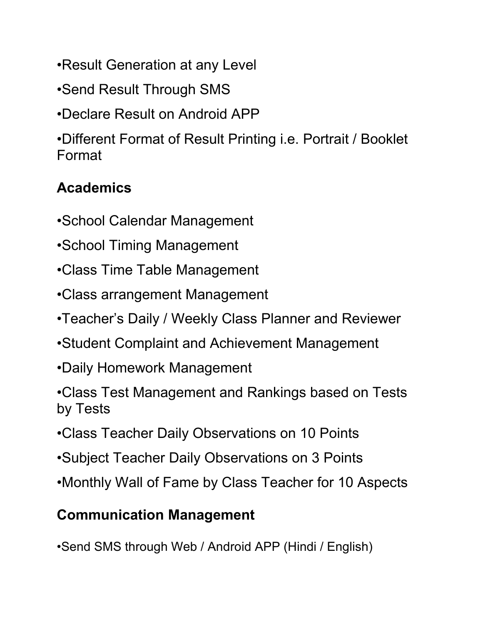- •Result Generation at any Level
- •Send Result Through SMS
- •Declare Result on Android APP

•Different Format of Result Printing i.e. Portrait / Booklet Format

## **Academics**

- •School Calendar Management
- •School Timing Management
- •Class Time Table Management
- •Class arrangement Management
- •Teacher's Daily / Weekly Class Planner and Reviewer
- •Student Complaint and Achievement Management
- •Daily Homework Management
- •Class Test Management and Rankings based on Tests by Tests
- •Class Teacher Daily Observations on 10 Points
- •Subject Teacher Daily Observations on 3 Points
- •Monthly Wall of Fame by Class Teacher for 10 Aspects

## **Communication Management**

•Send SMS through Web / Android APP (Hindi / English)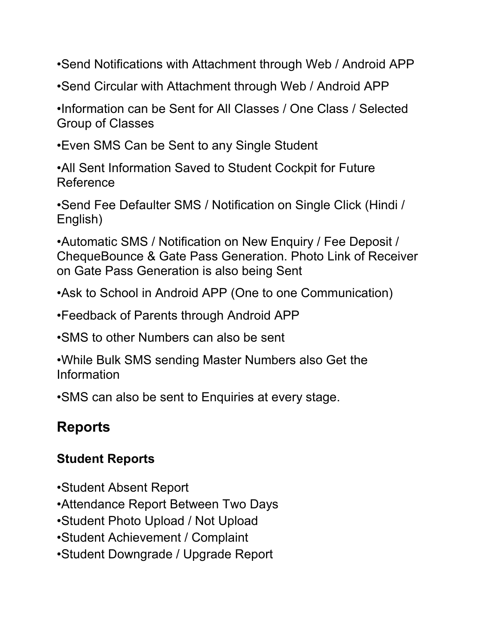•Send Notifications with Attachment through Web / Android APP

•Send Circular with Attachment through Web / Android APP

•Information can be Sent for All Classes / One Class / Selected Group of Classes

•Even SMS Can be Sent to any Single Student

•All Sent Information Saved to Student Cockpit for Future Reference

•Send Fee Defaulter SMS / Notification on Single Click (Hindi / English)

•Automatic SMS / Notification on New Enquiry / Fee Deposit / ChequeBounce & Gate Pass Generation. Photo Link of Receiver on Gate Pass Generation is also being Sent

•Ask to School in Android APP (One to one Communication)

•Feedback of Parents through Android APP

•SMS to other Numbers can also be sent

•While Bulk SMS sending Master Numbers also Get the Information

•SMS can also be sent to Enquiries at every stage.

## **Reports**

### **Student Reports**

- •Student Absent Report
- •Attendance Report Between Two Days
- •Student Photo Upload / Not Upload
- •Student Achievement / Complaint
- •Student Downgrade / Upgrade Report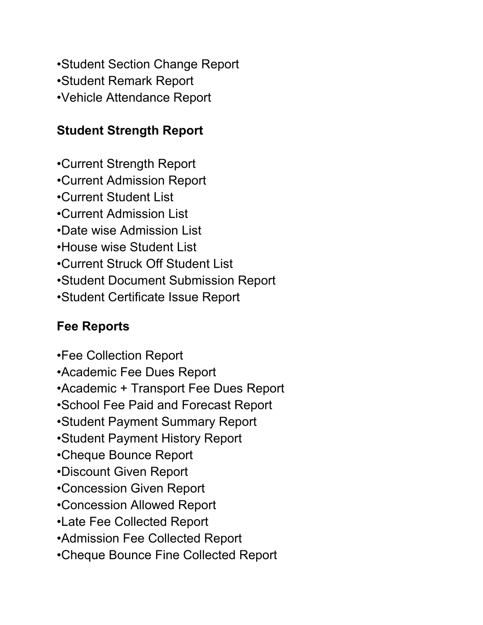•Student Section Change Report •Student Remark Report •Vehicle Attendance Report

### **Student Strength Report**

- •Current Strength Report
- •Current Admission Report
- •Current Student List
- •Current Admission List
- •Date wise Admission List
- •House wise Student List
- •Current Struck Off Student List
- •Student Document Submission Report
- •Student Certificate Issue Report

### **Fee Reports**

- •Fee Collection Report
- •Academic Fee Dues Report
- •Academic + Transport Fee Dues Report
- •School Fee Paid and Forecast Report
- •Student Payment Summary Report
- •Student Payment History Report
- •Cheque Bounce Report
- •Discount Given Report
- •Concession Given Report
- •Concession Allowed Report
- •Late Fee Collected Report
- •Admission Fee Collected Report
- •Cheque Bounce Fine Collected Report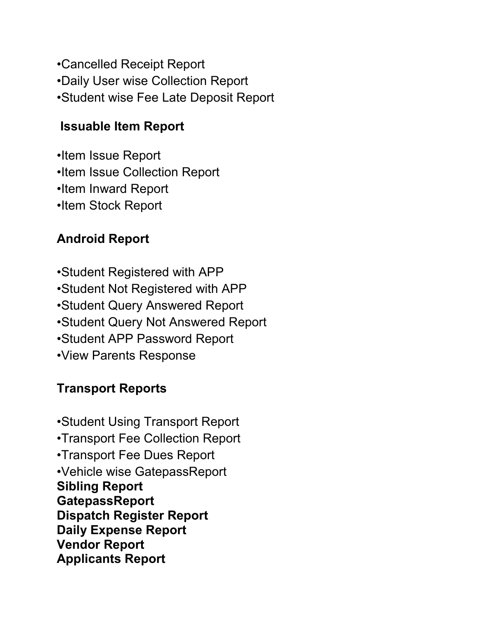- •Cancelled Receipt Report
- •Daily User wise Collection Report
- •Student wise Fee Late Deposit Report

### **Issuable Item Report**

•Item Issue Report •Item Issue Collection Report •Item Inward Report •Item Stock Report

### **Android Report**

•Student Registered with APP •Student Not Registered with APP •Student Query Answered Report •Student Query Not Answered Report •Student APP Password Report •View Parents Response

### **Transport Reports**

•Student Using Transport Report •Transport Fee Collection Report •Transport Fee Dues Report •Vehicle wise GatepassReport **Sibling Report GatepassReport Dispatch Register Report Daily Expense Report Vendor Report Applicants Report**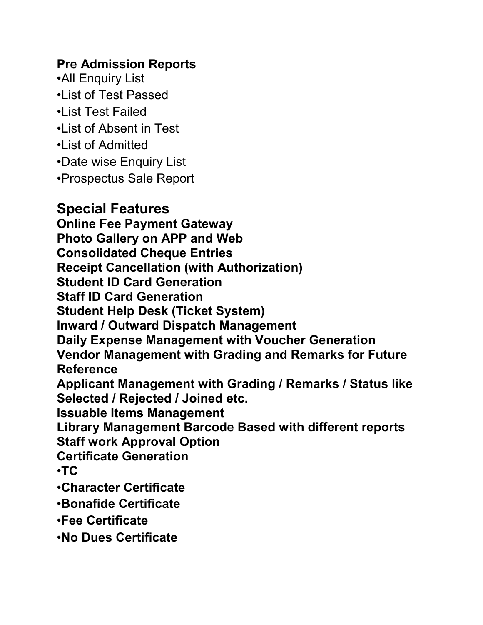#### **Pre Admission Reports**

•All Enquiry List •List of Test Passed •List Test Failed •List of Absent in Test •List of Admitted •Date wise Enquiry List •Prospectus Sale Report

### **Special Features**

**Online Fee Payment Gateway Photo Gallery on APP and Web Consolidated Cheque Entries Receipt Cancellation (with Authorization) Student ID Card Generation Staff ID Card Generation Student Help Desk (Ticket System) Inward / Outward Dispatch Management Daily Expense Management with Voucher Generation Vendor Management with Grading and Remarks for Future Reference Applicant Management with Grading / Remarks / Status like Selected / Rejected / Joined etc. Issuable Items Management Library Management Barcode Based with different reports Staff work Approval Option Certificate Generation** •**TC** •**Character Certificate** •**Bonafide Certificate** •**Fee Certificate** •**No Dues Certificate**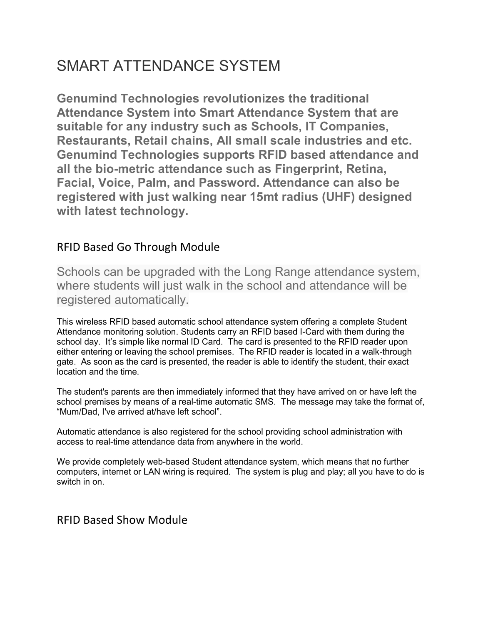## SMART ATTENDANCE SYSTEM

**Genumind Technologies revolutionizes the traditional Attendance System into Smart Attendance System that are suitable for any industry such as Schools, IT Companies, Restaurants, Retail chains, All small scale industries and etc. Genumind Technologies supports RFID based attendance and all the bio-metric attendance such as Fingerprint, Retina, Facial, Voice, Palm, and Password. Attendance can also be registered with just walking near 15mt radius (UHF) designed with latest technology.**

#### RFID Based Go Through Module

Schools can be upgraded with the Long Range attendance system, where students will just walk in the school and attendance will be registered automatically.

This wireless RFID based automatic school attendance system offering a complete Student Attendance monitoring solution. Students carry an RFID based I-Card with them during the school day. It's simple like normal ID Card. The card is presented to the RFID reader upon either entering or leaving the school premises. The RFID reader is located in a walk-through gate. As soon as the card is presented, the reader is able to identify the student, their exact location and the time.

The student's parents are then immediately informed that they have arrived on or have left the school premises by means of a real-time automatic SMS. The message may take the format of, "Mum/Dad, I've arrived at/have left school".

Automatic attendance is also registered for the school providing school administration with access to real-time attendance data from anywhere in the world.

We provide completely web-based Student attendance system, which means that no further computers, internet or LAN wiring is required. The system is plug and play; all you have to do is switch in on.

#### RFID Based Show Module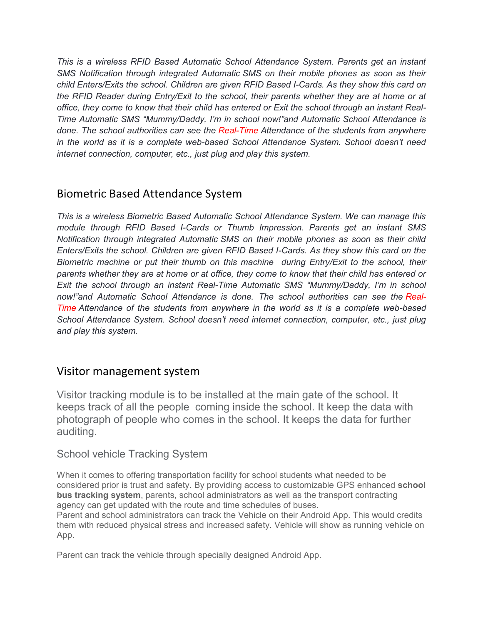*This is a wireless RFID Based Automatic School Attendance System. Parents get an instant SMS Notification through integrated Automatic SMS on their mobile phones as soon as their child Enters/Exits the school. Children are given RFID Based I-Cards. As they show this card on the RFID Reader during Entry/Exit to the school, their parents whether they are at home or at office, they come to know that their child has entered or Exit the school through an instant Real-Time Automatic SMS "Mummy/Daddy, I'm in school now!"and Automatic School Attendance is done. The school authorities can see the Real-Time Attendance of the students from anywhere in the world as it is a complete web-based School Attendance System. School doesn't need internet connection, computer, etc., just plug and play this system.*

#### Biometric Based Attendance System

*This is a wireless Biometric Based Automatic School Attendance System. We can manage this module through RFID Based I-Cards or Thumb Impression. Parents get an instant SMS Notification through integrated Automatic SMS on their mobile phones as soon as their child Enters/Exits the school. Children are given RFID Based I-Cards. As they show this card on the Biometric machine or put their thumb on this machine during Entry/Exit to the school, their parents whether they are at home or at office, they come to know that their child has entered or Exit the school through an instant Real-Time Automatic SMS "Mummy/Daddy, I'm in school now!"and Automatic School Attendance is done. The school authorities can see the Real-Time Attendance of the students from anywhere in the world as it is a complete web-based School Attendance System. School doesn't need internet connection, computer, etc., just plug and play this system.*

#### Visitor management system

Visitor tracking module is to be installed at the main gate of the school. It keeps track of all the people coming inside the school. It keep the data with photograph of people who comes in the school. It keeps the data for further auditing.

#### School vehicle Tracking System

When it comes to offering transportation facility for school students what needed to be considered prior is trust and safety. By providing access to customizable GPS enhanced **school bus tracking system**, parents, school administrators as well as the transport contracting agency can get updated with the route and time schedules of buses.

Parent and school administrators can track the Vehicle on their Android App. This would credits them with reduced physical stress and increased safety. Vehicle will show as running vehicle on App.

Parent can track the vehicle through specially designed Android App.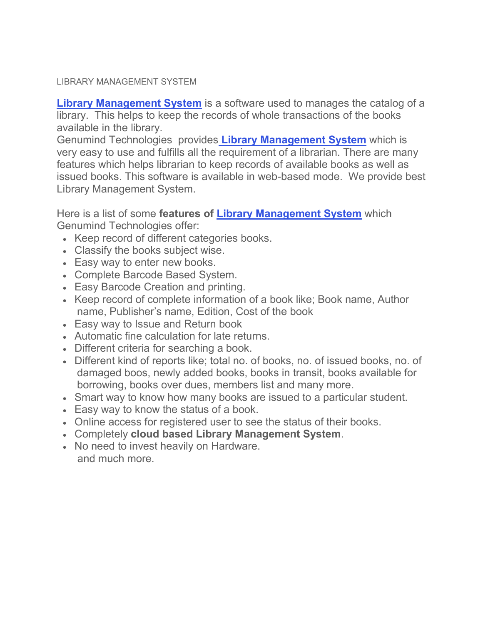#### LIBRARY MANAGEMENT SYSTEM

**[Library Management System](https://ampletrails.com/library-management-system)** is a software used to manages the catalog of a library. This helps to keep the records of whole transactions of the books available in the library.

Genumind Technologies provides **[Library Management System](https://ampletrails.com/library-management-system)** which is very easy to use and fulfills all the requirement of a librarian. There are many features which helps librarian to keep records of available books as well as issued books. This software is available in web-based mode. We provide best Library Management System.

Here is a list of some **features of [Library Management System](https://ampletrails.com/library-management-system)** which Genumind Technologies offer:

- Keep record of different categories books.
- Classify the books subject wise.
- Easy way to enter new books.
- Complete Barcode Based System.
- Easy Barcode Creation and printing.
- Keep record of complete information of a book like; Book name, Author name, Publisher's name, Edition, Cost of the book
- Easy way to Issue and Return book
- Automatic fine calculation for late returns.
- Different criteria for searching a book.
- Different kind of reports like; total no. of books, no. of issued books, no. of damaged boos, newly added books, books in transit, books available for borrowing, books over dues, members list and many more.
- Smart way to know how many books are issued to a particular student.
- Easy way to know the status of a book.
- Online access for registered user to see the status of their books.
- Completely **cloud based Library Management System**.
- No need to invest heavily on Hardware. and much more.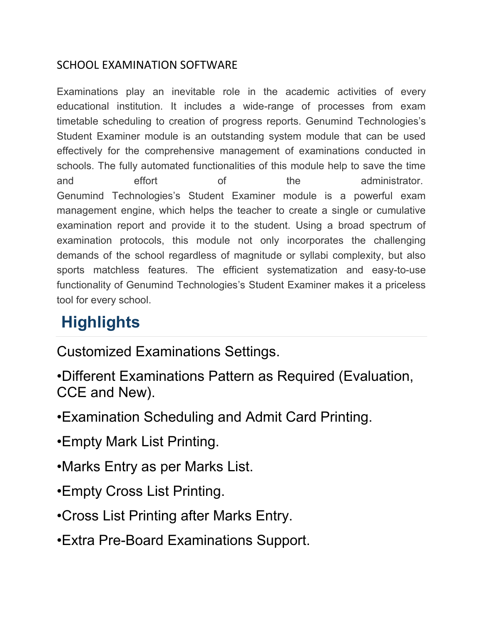#### SCHOOL EXAMINATION SOFTWARE

Examinations play an inevitable role in the academic activities of every educational institution. It includes a wide-range of processes from exam timetable scheduling to creation of progress reports. Genumind Technologies's Student Examiner module is an outstanding system module that can be used effectively for the comprehensive management of examinations conducted in schools. The fully automated functionalities of this module help to save the time and effort of the administrator. Genumind Technologies's Student Examiner module is a powerful exam management engine, which helps the teacher to create a single or cumulative examination report and provide it to the student. Using a broad spectrum of examination protocols, this module not only incorporates the challenging demands of the school regardless of magnitude or syllabi complexity, but also sports matchless features. The efficient systematization and easy-to-use functionality of Genumind Technologies's Student Examiner makes it a priceless tool for every school.

## **Highlights**

Customized Examinations Settings.

- •Different Examinations Pattern as Required (Evaluation, CCE and New).
- •Examination Scheduling and Admit Card Printing.
- •Empty Mark List Printing.
- •Marks Entry as per Marks List.
- •Empty Cross List Printing.
- •Cross List Printing after Marks Entry.
- •Extra Pre-Board Examinations Support.